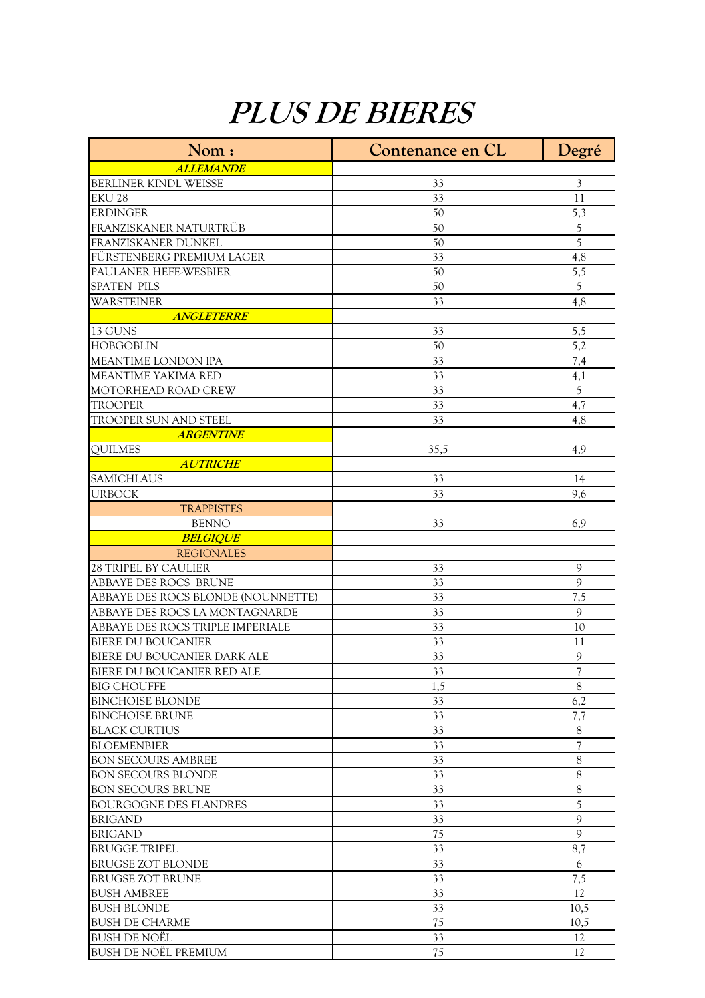## **PLUS DE BIERES**

| Nom:                                                  | Contenance en CL | Degré                         |
|-------------------------------------------------------|------------------|-------------------------------|
| <b>ALLEMANDE</b>                                      |                  |                               |
| BERLINER KINDL WEISSE                                 | 33               | $\mathfrak{Z}$                |
| <b>EKU 28</b>                                         | 33               | 11                            |
| <b>ERDINGER</b>                                       | 50               | 5,3                           |
| FRANZISKANER NATURTRÜB                                | 50               | 5                             |
| FRANZISKANER DUNKEL                                   | 50               | 5                             |
| FÜRSTENBERG PREMIUM LAGER                             | 33               | 4,8                           |
| PAULANER HEFE-WESBIER                                 | 50               | 5,5                           |
| <b>SPATEN PILS</b>                                    | 50               | 5                             |
| WARSTEINER                                            | 33               | 4,8                           |
| <b>ANGLETERRE</b>                                     |                  |                               |
| 13 GUNS                                               | 33               | 5,5                           |
| <b>HOBGOBLIN</b>                                      | 50               | $\overline{5,2}$              |
| MEANTIME LONDON IPA                                   | 33               | 7,4                           |
| MEANTIME YAKIMA RED                                   | 33               | 4,1                           |
| MOTORHEAD ROAD CREW                                   | 33               | 5                             |
| <b>TROOPER</b>                                        | 33               | 4,7                           |
| TROOPER SUN AND STEEL                                 | 33               | 4,8                           |
| <b>ARGENTINE</b>                                      |                  |                               |
| <b>QUILMES</b>                                        | 35,5             | 4,9                           |
| <b>AUTRICHE</b>                                       |                  |                               |
| <b>SAMICHLAUS</b>                                     | 33               | 14                            |
| <b>URBOCK</b>                                         | 33               | 9,6                           |
| <b>TRAPPISTES</b>                                     |                  |                               |
| <b>BENNO</b>                                          | 33               | 6,9                           |
| <b>BELGIQUE</b>                                       |                  |                               |
| <b>REGIONALES</b>                                     |                  |                               |
| <b>28 TRIPEL BY CAULIER</b>                           | 33               | 9                             |
| ABBAYE DES ROCS BRUNE                                 | 33               | $\mathbf Q$                   |
| ABBAYE DES ROCS BLONDE (NOUNNETTE)                    | 33               | 7,5                           |
| ABBAYE DES ROCS LA MONTAGNARDE                        | 33               | 9                             |
| ABBAYE DES ROCS TRIPLE IMPERIALE                      | 33               | 10                            |
| <b>BIERE DU BOUCANIER</b>                             | 33               | 11                            |
|                                                       |                  | 9                             |
| BIERE DU BOUCANIER DARK ALE                           | 33               |                               |
| BIERE DU BOUCANIER RED ALE                            | 33<br>1,5        | T<br>8                        |
| <b>BIG CHOUFFE</b><br><b>BINCHOISE BLONDE</b>         | 33               | 6,2                           |
| <b>BINCHOISE BRUNE</b>                                | 33               | 7,7                           |
| <b>BLACK CURTIUS</b>                                  |                  |                               |
| <b>BLOEMENBIER</b>                                    | 33<br>33         | 8<br>$\overline{\mathcal{U}}$ |
|                                                       |                  |                               |
| <b>BON SECOURS AMBREE</b>                             | 33               | 8                             |
| <b>BON SECOURS BLONDE</b><br><b>BON SECOURS BRUNE</b> | 33<br>33         | $8\,$<br>8                    |
|                                                       |                  |                               |
| <b>BOURGOGNE DES FLANDRES</b>                         | 33               | 5                             |
| <b>BRIGAND</b>                                        | 33               | 9                             |
| <b>BRIGAND</b>                                        | 75               | $\mathbf Q$                   |
| <b>BRUGGE TRIPEL</b>                                  | 33               | 8,7                           |
| <b>BRUGSE ZOT BLONDE</b>                              | 33               | 6                             |
| <b>BRUGSE ZOT BRUNE</b>                               | 33               | 7,5                           |
| <b>BUSH AMBREE</b>                                    | 33               | 12                            |
| <b>BUSH BLONDE</b>                                    | 33               | 10,5                          |
| <b>BUSH DE CHARME</b>                                 | 75               | 10,5                          |
| <b>BUSH DE NOËL</b>                                   | 33               | 12                            |
| <b>BUSH DE NOËL PREMIUM</b>                           | 75               | 12                            |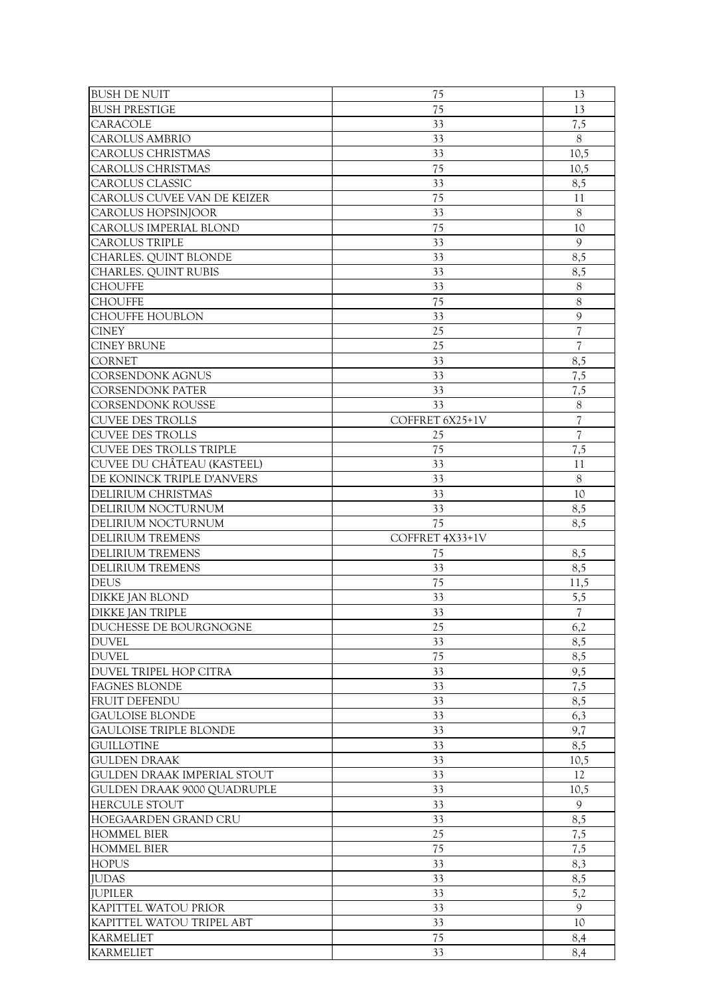| <b>BUSH DE NUIT</b>                               | 75              | 13                       |
|---------------------------------------------------|-----------------|--------------------------|
| <b>BUSH PRESTIGE</b>                              | 75              | 13                       |
| <b>CARACOLE</b>                                   | 33              | 7,5                      |
| <b>CAROLUS AMBRIO</b>                             | 33              | 8                        |
| <b>CAROLUS CHRISTMAS</b>                          | 33              | 10,5                     |
| CAROLUS CHRISTMAS                                 | 75              | 10,5                     |
| <b>CAROLUS CLASSIC</b>                            | 33              | 8,5                      |
| CAROLUS CUVEE VAN DE KEIZER                       | 75              | 11                       |
| CAROLUS HOPSINJOOR                                | 33              | $8\,$                    |
| CAROLUS IMPERIAL BLOND                            | 75              | 10                       |
| <b>CAROLUS TRIPLE</b>                             | 33              | 9                        |
| CHARLES. QUINT BLONDE                             | 33              | 8,5                      |
| CHARLES. QUINT RUBIS                              | 33              | 8,5                      |
| <b>CHOUFFE</b>                                    | 33              | 8                        |
| <b>CHOUFFE</b>                                    | 75              | 8                        |
| <b>CHOUFFE HOUBLON</b>                            | 33              | 9                        |
| <b>CINEY</b>                                      | 25              | 7                        |
| <b>CINEY BRUNE</b>                                | 25              | $\overline{\mathcal{U}}$ |
| <b>CORNET</b>                                     | 33              | 8,5                      |
| CORSENDONK AGNUS                                  | 33              | 7,5                      |
| <b>CORSENDONK PATER</b>                           | 33              | 7,5                      |
| <b>CORSENDONK ROUSSE</b>                          | 33              | 8                        |
| <b>CUVEE DES TROLLS</b>                           | COFFRET 6X25+1V | $\overline{\mathcal{U}}$ |
| <b>CUVEE DES TROLLS</b>                           | 25              | $\overline{\mathcal{L}}$ |
| <b>CUVEE DES TROLLS TRIPLE</b>                    | 75              | 7,5                      |
| CUVEE DU CHÂTEAU (KASTEEL)                        | 33              | 11                       |
| DE KONINCK TRIPLE D'ANVERS                        | 33              | $8\,$                    |
| DELIRIUM CHRISTMAS                                | 33              | 10                       |
| DELIRIUM NOCTURNUM                                | 33              | 8,5                      |
| DELIRIUM NOCTURNUM                                | 75              | 8,5                      |
| <b>DELIRIUM TREMENS</b>                           | COFFRET 4X33+1V |                          |
|                                                   |                 |                          |
|                                                   |                 |                          |
| <b>DELIRIUM TREMENS</b>                           | 75              | 8,5                      |
| <b>DELIRIUM TREMENS</b>                           | 33              | 8,5                      |
| <b>DEUS</b>                                       | 75              | 11,5                     |
| <b>DIKKE JAN BLOND</b><br><b>DIKKE JAN TRIPLE</b> | 33<br>33        | 5,5<br>$\overline{7}$    |
|                                                   |                 |                          |
| DUCHESSE DE BOURGNOGNE<br><b>DUVEL</b>            | 25<br>33        | 6,2<br>8,5               |
| <b>DUVEL</b>                                      | 75              | 8,5                      |
| DUVEL TRIPEL HOP CITRA                            | 33              | 9,5                      |
| <b>FAGNES BLONDE</b>                              | 33              | 7,5                      |
| <b>FRUIT DEFENDU</b>                              | 33              | 8,5                      |
| <b>GAULOISE BLONDE</b>                            | 33              | 6,3                      |
| <b>GAULOISE TRIPLE BLONDE</b>                     | 33              | 9,7                      |
| <b>GUILLOTINE</b>                                 | 33              | 8,5                      |
| <b>GULDEN DRAAK</b>                               | 33              | 10,5                     |
| GULDEN DRAAK IMPERIAL STOUT                       | 33              | 12                       |
| GULDEN DRAAK 9000 QUADRUPLE                       | 33              | 10,5                     |
| <b>HERCULE STOUT</b>                              | 33              | 9                        |
| HOEGAARDEN GRAND CRU                              | 33              | 8,5                      |
| <b>HOMMEL BIER</b>                                | 25              | 7,5                      |
| <b>HOMMEL BIER</b>                                | 75              | 7,5                      |
| <b>HOPUS</b>                                      | 33              | 8,3                      |
| <b>JUDAS</b>                                      | 33              | 8,5                      |
| <b>JUPILER</b>                                    | 33              | 5,2                      |
| KAPITTEL WATOU PRIOR                              | 33              | 9                        |
| KAPITTEL WATOU TRIPEL ABT                         | 33              | 10                       |
| <b>KARMELIET</b><br><b>KARMELIET</b>              | 75<br>33        | 8,4<br>8,4               |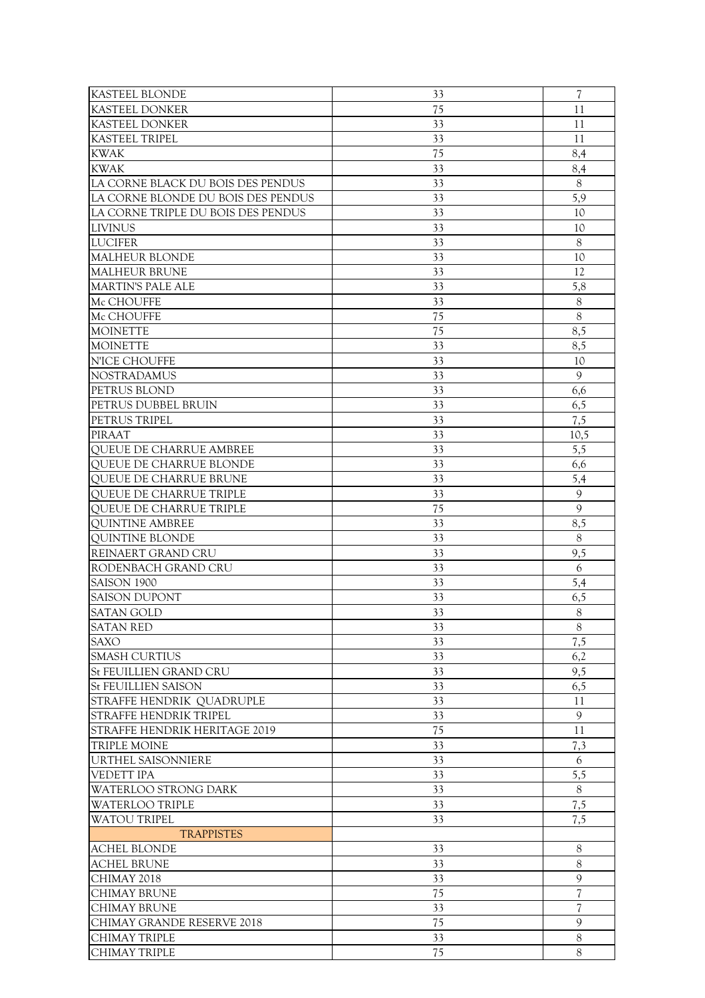| <b>KASTEEL BLONDE</b>              | 33 | $\overline{\mathcal{U}}$ |
|------------------------------------|----|--------------------------|
| <b>KASTEEL DONKER</b>              | 75 | 11                       |
| <b>KASTEEL DONKER</b>              | 33 | 11                       |
| <b>KASTEEL TRIPEL</b>              | 33 | 11                       |
| <b>KWAK</b>                        | 75 | 8,4                      |
| <b>KWAK</b>                        | 33 |                          |
|                                    |    | 8,4                      |
| LA CORNE BLACK DU BOIS DES PENDUS  | 33 | 8                        |
| LA CORNE BLONDE DU BOIS DES PENDUS | 33 | 5,9                      |
| LA CORNE TRIPLE DU BOIS DES PENDUS | 33 | 10                       |
| <b>LIVINUS</b>                     | 33 | 10                       |
| <b>LUCIFER</b>                     | 33 | 8                        |
| <b>MALHEUR BLONDE</b>              | 33 | 10                       |
| <b>MALHEUR BRUNE</b>               | 33 | 12                       |
| <b>MARTIN'S PALE ALE</b>           | 33 | 5,8                      |
| Mc CHOUFFE                         | 33 | $8\,$                    |
| Mc CHOUFFE                         | 75 | 8                        |
| <b>MOINETTE</b>                    | 75 | 8,5                      |
| <b>MOINETTE</b>                    | 33 | 8,5                      |
| N'ICE CHOUFFE                      | 33 | 10                       |
| <b>NOSTRADAMUS</b>                 | 33 | $\mathbf Q$              |
| PETRUS BLOND                       | 33 | 6,6                      |
| PETRUS DUBBEL BRUIN                | 33 | 6,5                      |
| PETRUS TRIPEL                      | 33 | 7,5                      |
| <b>PIRAAT</b>                      | 33 | 10,5                     |
| QUEUE DE CHARRUE AMBREE            | 33 | 5,5                      |
|                                    | 33 |                          |
| QUEUE DE CHARRUE BLONDE            |    | 6,6                      |
| QUEUE DE CHARRUE BRUNE             | 33 | 5,4                      |
| <b>QUEUE DE CHARRUE TRIPLE</b>     | 33 | 9                        |
| QUEUE DE CHARRUE TRIPLE            | 75 | 9                        |
| <b>QUINTINE AMBREE</b>             | 33 | 8,5                      |
| QUINTINE BLONDE                    | 33 | 8                        |
| REINAERT GRAND CRU                 | 33 | 9,5                      |
| RODENBACH GRAND CRU                | 33 | 6                        |
| SAISON 1900                        | 33 | 5,4                      |
| <b>SAISON DUPONT</b>               | 33 | 6,5                      |
| <b>SATAN GOLD</b>                  | 33 | 8                        |
| <b>SATAN RED</b>                   | 33 | $8\,$                    |
| SAXO                               | 33 | 7,5                      |
| <b>SMASH CURTIUS</b>               | 33 | 6,2                      |
| <b>St FEUILLIEN GRAND CRU</b>      | 33 | 9,5                      |
| <b>St FEUILLIEN SAISON</b>         | 33 | 6,5                      |
| <b>STRAFFE HENDRIK QUADRUPLE</b>   | 33 | 11                       |
| <b>STRAFFE HENDRIK TRIPEL</b>      | 33 | 9                        |
| STRAFFE HENDRIK HERITAGE 2019      | 75 | 11                       |
| <b>TRIPLE MOINE</b>                | 33 | 7,3                      |
| URTHEL SAISONNIERE                 | 33 | 6                        |
| <b>VEDETT IPA</b>                  | 33 | 5,5                      |
|                                    |    | 8                        |
| WATERLOO STRONG DARK               | 33 |                          |
| <b>WATERLOO TRIPLE</b>             | 33 | 7,5                      |
| <b>WATOU TRIPEL</b>                | 33 | 7,5                      |
| <b>TRAPPISTES</b>                  |    |                          |
| ACHEL BLONDE                       | 33 | 8                        |
| <b>ACHEL BRUNE</b>                 | 33 | 8                        |
| CHIMAY 2018                        | 33 | 9                        |
| <b>CHIMAY BRUNE</b>                | 75 | $\overline{\mathcal{U}}$ |
| <b>CHIMAY BRUNE</b>                | 33 | 7                        |
| CHIMAY GRANDE RESERVE 2018         | 75 | 9                        |
| CHIMAY TRIPLE                      | 33 | 8                        |
| CHIMAY TRIPLE                      | 75 | 8                        |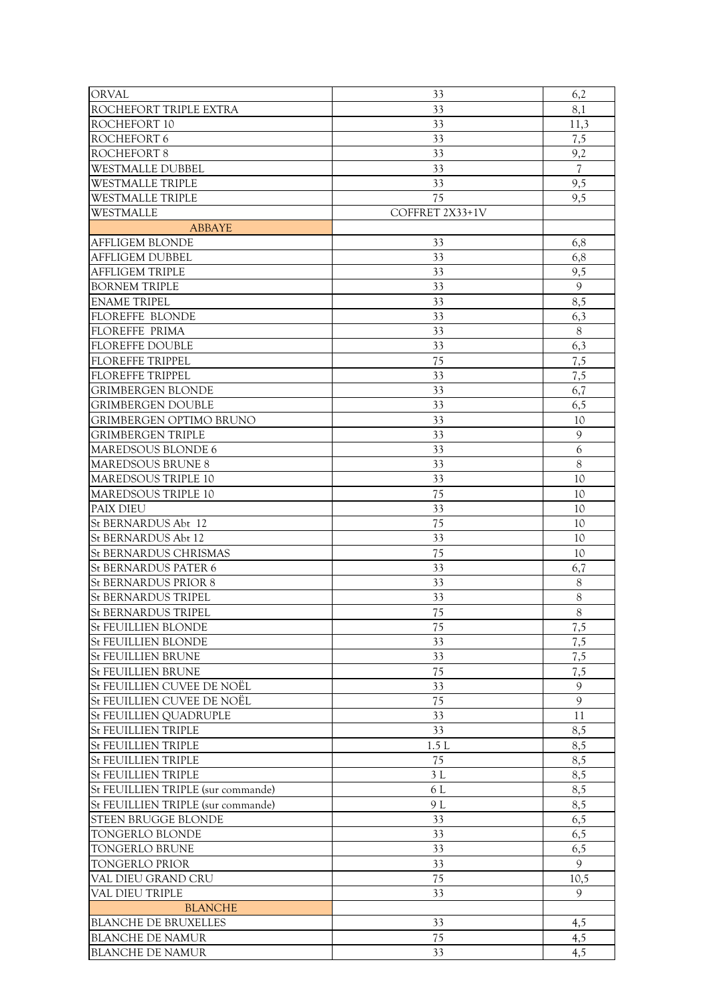| <b>ORVAL</b>                       | 33              | 6,2                      |
|------------------------------------|-----------------|--------------------------|
| ROCHEFORT TRIPLE EXTRA             | 33              | 8,1                      |
| ROCHEFORT 10                       | 33              | 11,3                     |
| ROCHEFORT 6                        | 33              | 7,5                      |
| ROCHEFORT 8                        | 33              | 9,2                      |
| <b>WESTMALLE DUBBEL</b>            | 33              | $\overline{\mathcal{U}}$ |
| <b>WESTMALLE TRIPLE</b>            | 33              | 9,5                      |
| <b>WESTMALLE TRIPLE</b>            | 75              | 9,5                      |
|                                    |                 |                          |
| WESTMALLE                          | COFFRET 2X33+1V |                          |
| <b>ABBAYE</b>                      |                 |                          |
| <b>AFFLIGEM BLONDE</b>             | 33              | 6,8                      |
| <b>AFFLIGEM DUBBEL</b>             | 33              | 6,8                      |
| <b>AFFLIGEM TRIPLE</b>             | 33              | 9,5                      |
| <b>BORNEM TRIPLE</b>               | 33              | 9                        |
| <b>ENAME TRIPEL</b>                | 33              | 8,5                      |
| <b>FLOREFFE BLONDE</b>             | 33              | 6,3                      |
| <b>FLOREFFE PRIMA</b>              | 33              | 8                        |
| <b>FLOREFFE DOUBLE</b>             | 33              | 6,3                      |
| <b>FLOREFFE TRIPPEL</b>            | 75              | 7,5                      |
| <b>FLOREFFE TRIPPEL</b>            | 33              | 7,5                      |
| <b>GRIMBERGEN BLONDE</b>           | 33              | 6,7                      |
| <b>GRIMBERGEN DOUBLE</b>           | 33              | 6,5                      |
| <b>GRIMBERGEN OPTIMO BRUNO</b>     | 33              | 10                       |
| <b>GRIMBERGEN TRIPLE</b>           | 33              | 9                        |
| MAREDSOUS BLONDE 6                 | 33              | 6                        |
| <b>MAREDSOUS BRUNE 8</b>           | 33              | 8                        |
| <b>MAREDSOUS TRIPLE 10</b>         | 33              | 10                       |
| MAREDSOUS TRIPLE 10                | 75              | 10                       |
|                                    | 33              |                          |
| <b>PAIX DIEU</b>                   |                 | 10                       |
| <b>St BERNARDUS Abt 12</b>         | 75              | 10                       |
| <b>St BERNARDUS Abt 12</b>         | 33              | 10                       |
| <b>St BERNARDUS CHRISMAS</b>       | 75              | 10                       |
| <b>St BERNARDUS PATER 6</b>        | 33              | 6,7                      |
| <b>St BERNARDUS PRIOR 8</b>        | 33              | 8                        |
| <b>St BERNARDUS TRIPEL</b>         | 33              | 8                        |
| <b>St BERNARDUS TRIPEL</b>         | 75              | 8                        |
| <b>St FEUILLIEN BLONDE</b>         | 75              | 7,5                      |
| <b>St FEUILLIEN BLONDE</b>         | 33              | 7,5                      |
| <b>St FEUILLIEN BRUNE</b>          | 33              | 7,5                      |
| <b>St FEUILLIEN BRUNE</b>          | 75              | 7,5                      |
| St FEUILLIEN CUVEE DE NOËL         | 33              | 9                        |
| St FEUILLIEN CUVEE DE NOËL         | 75              | 9                        |
| <b>St FEUILLIEN QUADRUPLE</b>      | 33              | 11                       |
| <b>St FEUILLIEN TRIPLE</b>         | 33              | 8,5                      |
| <b>St FEUILLIEN TRIPLE</b>         | 1.5L            | 8,5                      |
| <b>St FEUILLIEN TRIPLE</b>         | 75              | 8,5                      |
| <b>St FEUILLIEN TRIPLE</b>         | 3L              | 8,5                      |
| St FEUILLIEN TRIPLE (sur commande) | 6 L             | 8,5                      |
| St FEUILLIEN TRIPLE (sur commande) | 9 L             | 8,5                      |
| <b>STEEN BRUGGE BLONDE</b>         | 33              | 6,5                      |
| TONGERLO BLONDE                    | 33              | 6,5                      |
|                                    | 33              |                          |
| <b>TONGERLO BRUNE</b>              |                 | 6,5                      |
| <b>TONGERLO PRIOR</b>              | 33              | $\mathbf Q$              |
| VAL DIEU GRAND CRU                 | 75              | 10,5                     |
| VAL DIEU TRIPLE                    | 33              | 9                        |
| <b>BLANCHE</b>                     |                 |                          |
| <b>BLANCHE DE BRUXELLES</b>        | 33              | 4,5                      |
| <b>BLANCHE DE NAMUR</b>            | 75              | 4,5                      |
| <b>BLANCHE DE NAMUR</b>            | 33              | 4,5                      |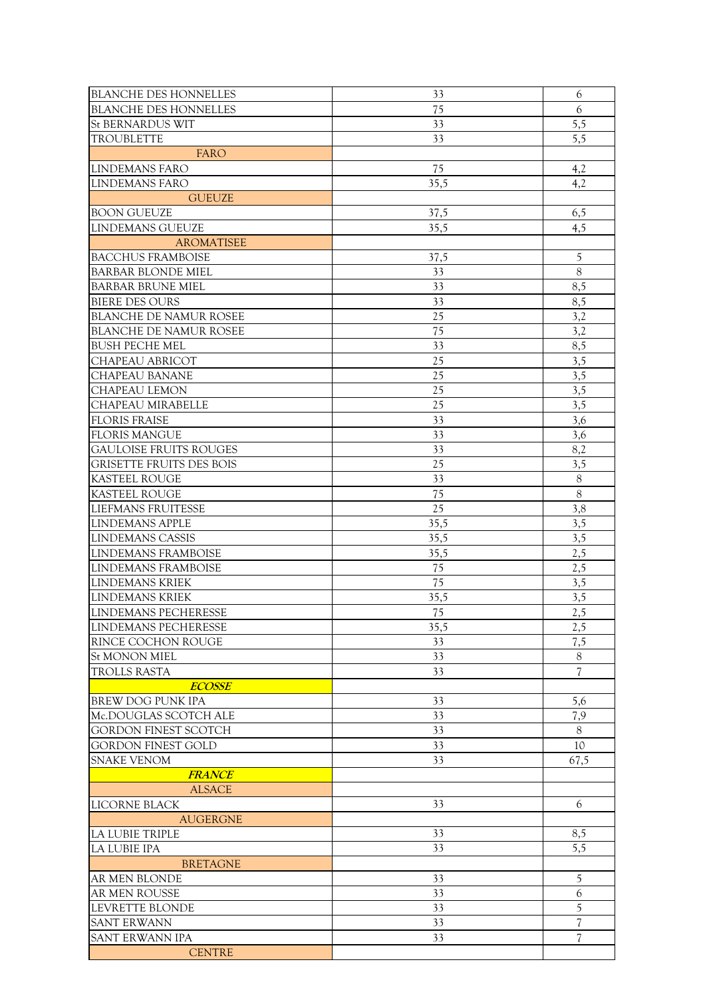| <b>BLANCHE DES HONNELLES</b>    | 33   | 6        |
|---------------------------------|------|----------|
| <b>BLANCHE DES HONNELLES</b>    | 75   | 6        |
| <b>St BERNARDUS WIT</b>         | 33   | 5,5      |
| <b>TROUBLETTE</b>               | 33   | 5,5      |
| <b>FARO</b>                     |      |          |
| <b>LINDEMANS FARO</b>           | 75   | 4,2      |
| <b>LINDEMANS FARO</b>           | 35,5 | 4,2      |
| <b>GUEUZE</b>                   |      |          |
| <b>BOON GUEUZE</b>              | 37,5 | 6,5      |
| <b>LINDEMANS GUEUZE</b>         | 35,5 | 4,5      |
| <b>AROMATISEE</b>               |      |          |
| <b>BACCHUS FRAMBOISE</b>        |      |          |
|                                 | 37,5 | 5        |
| <b>BARBAR BLONDE MIEL</b>       | 33   | $8\,$    |
| <b>BARBAR BRUNE MIEL</b>        | 33   | 8,5      |
| <b>BIERE DES OURS</b>           | 33   | 8,5      |
| <b>BLANCHE DE NAMUR ROSEE</b>   | 25   | 3,2      |
| <b>BLANCHE DE NAMUR ROSEE</b>   | 75   | 3,2      |
| <b>BUSH PECHE MEL</b>           | 33   | 8,5      |
| CHAPEAU ABRICOT                 | 25   | 3,5      |
| CHAPEAU BANANE                  | 25   | 3,5      |
| <b>CHAPEAU LEMON</b>            | 25   | 3,5      |
| <b>CHAPEAU MIRABELLE</b>        | 25   | 3,5      |
| <b>FLORIS FRAISE</b>            | 33   | 3,6      |
| <b>FLORIS MANGUE</b>            | 33   | 3,6      |
| <b>GAULOISE FRUITS ROUGES</b>   | 33   | 8,2      |
| <b>GRISETTE FRUITS DES BOIS</b> | 25   | 3,5      |
| <b>KASTEEL ROUGE</b>            | 33   | $8\,$    |
| <b>KASTEEL ROUGE</b>            | 75   | $\,8\,$  |
| <b>LIEFMANS FRUITESSE</b>       | 25   | 3,8      |
| <b>LINDEMANS APPLE</b>          | 35,5 | 3,5      |
| LINDEMANS CASSIS                | 35,5 | 3,5      |
| LINDEMANS FRAMBOISE             | 35,5 | 2,5      |
| LINDEMANS FRAMBOISE             | 75   | 2,5      |
| <b>LINDEMANS KRIEK</b>          | 75   | 3,5      |
| <b>LINDEMANS KRIEK</b>          | 35,5 | 3,5      |
| <b>LINDEMANS PECHERESSE</b>     | 75   | 2,5      |
| LINDEMANS PECHERESSE            | 35,5 | 2,5      |
| IRINCE COCHON ROUGE             | 33   | 7,5      |
| <b>St MONON MIEL</b>            | 33   | 8        |
| <b>TROLLS RASTA</b>             | 33   | 7        |
| <b>ECOSSE</b>                   |      |          |
| <b>BREW DOG PUNK IPA</b>        | 33   | 5,6      |
| Mc.DOUGLAS SCOTCH ALE           | 33   |          |
| <b>GORDON FINEST SCOTCH</b>     | 33   | 7,9<br>8 |
|                                 | 33   | 10       |
| <b>GORDON FINEST GOLD</b>       |      |          |
| <b>SNAKE VENOM</b>              | 33   | 67,5     |
| <b>FRANCE</b>                   |      |          |
| <b>ALSACE</b>                   |      |          |
| LICORNE BLACK                   | 33   | 6        |
| <b>AUGERGNE</b>                 |      |          |
| LA LUBIE TRIPLE                 | 33   | 8,5      |
| LA LUBIE IPA                    | 33   | 5,5      |
| <b>BRETAGNE</b>                 |      |          |
| AR MEN BLONDE                   | 33   | 5        |
| AR MEN ROUSSE                   | 33   | 6        |
| LEVRETTE BLONDE                 | 33   | 5        |
| <b>SANT ERWANN</b>              | 33   | 7        |
| <b>SANT ERWANN IPA</b>          | 33   | 7        |
| <b>CENTRE</b>                   |      |          |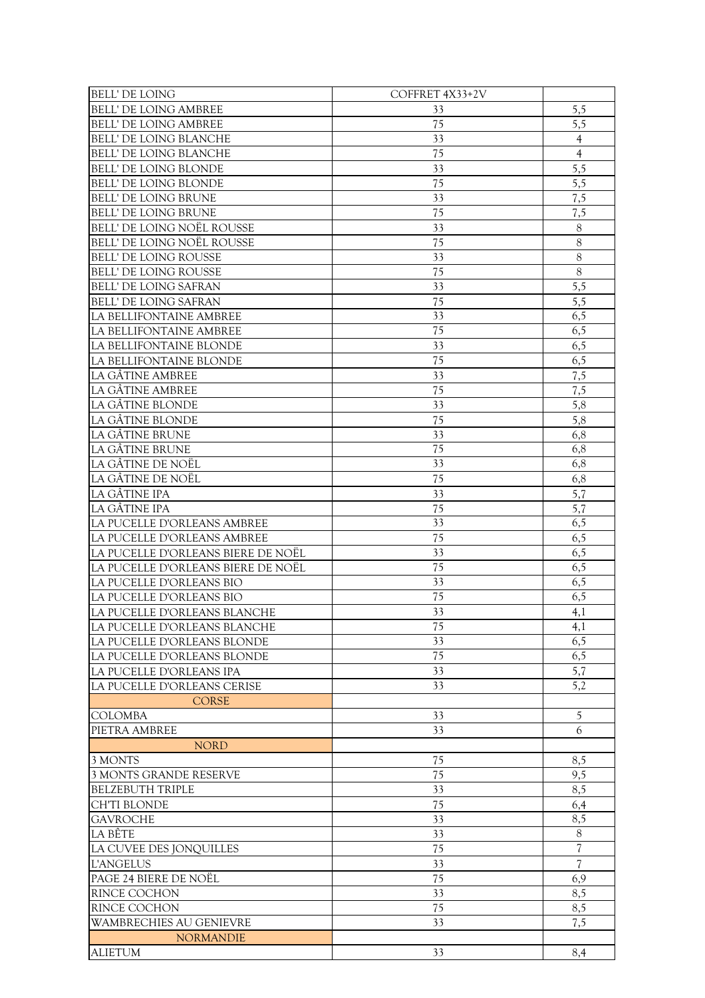| <b>BELL' DE LOING</b>              | COFFRET 4X33+2V |                          |
|------------------------------------|-----------------|--------------------------|
| <b>BELL' DE LOING AMBREE</b>       | 33              | 5,5                      |
| <b>BELL' DE LOING AMBREE</b>       | 75              | 5,5                      |
| BELL' DE LOING BLANCHE             | 33              | $\overline{4}$           |
| <b>BELL' DE LOING BLANCHE</b>      | 75              | $\overline{4}$           |
| <b>BELL' DE LOING BLONDE</b>       | 33              | 5,5                      |
| <b>BELL' DE LOING BLONDE</b>       | 75              | 5,5                      |
| <b>BELL' DE LOING BRUNE</b>        | 33              | 7,5                      |
| <b>BELL' DE LOING BRUNE</b>        | 75              | 7,5                      |
| BELL' DE LOING NOËL ROUSSE         | 33              | 8                        |
| BELL' DE LOING NOËL ROUSSE         | 75              | 8                        |
| <b>BELL' DE LOING ROUSSE</b>       | 33              | 8                        |
| <b>BELL' DE LOING ROUSSE</b>       | 75              | 8                        |
| <b>BELL' DE LOING SAFRAN</b>       | 33              | 5,5                      |
| BELL' DE LOING SAFRAN              | 75              | 5,5                      |
| LA BELLIFONTAINE AMBREE            | 33              | 6,5                      |
| LA BELLIFONTAINE AMBREE            | 75              | 6,5                      |
| LA BELLIFONTAINE BLONDE            | 33              | 6,5                      |
| LA BELLIFONTAINE BLONDE            | 75              | 6,5                      |
| LA GÂTINE AMBREE                   | 33              | 7,5                      |
| LA GÂTINE AMBREE                   | 75              | 7,5                      |
| LA GÂTINE BLONDE                   | 33              | 5,8                      |
| LA GÂTINE BLONDE                   | 75              | 5,8                      |
| LA GÂTINE BRUNE                    | 33              | 6,8                      |
| LA GÂTINE BRUNE                    | 75              | 6,8                      |
| LA GÂTINE DE NOËL                  | 33              | 6,8                      |
| LA GÂTINE DE NOËL                  | 75              | 6,8                      |
| LA GÂTINE IPA                      | 33              | 5,7                      |
| LA GÂTINE IPA                      | 75              | 5,7                      |
| LA PUCELLE D'ORLEANS AMBREE        | 33              | 6,5                      |
| LA PUCELLE D'ORLEANS AMBREE        | 75              | 6,5                      |
| LA PUCELLE D'ORLEANS BIERE DE NOËL | 33              | 6,5                      |
| LA PUCELLE D'ORLEANS BIERE DE NOËL | 75              | 6,5                      |
| LA PUCELLE D'ORLEANS BIO           | 33              | 6,5                      |
| LA PUCELLE D'ORLEANS BIO           | 75              | 6,5                      |
| LA PUCELLE D'ORLEANS BLANCHE       | 33              | 4,1                      |
| LA PUCELLE D'ORLEANS BLANCHE       | 75              | 4,1                      |
| LA PUCELLE D'ORLEANS BLONDE        | 33              | 6,5                      |
| LA PUCELLE D'ORLEANS BLONDE        | $\overline{75}$ | 6,5                      |
| LA PUCELLE D'ORLEANS IPA           | 33              | 5,7                      |
| LA PUCELLE D'ORLEANS CERISE        | 33              | 5,2                      |
| <b>CORSE</b>                       |                 |                          |
| <b>COLOMBA</b>                     | 33              | 5                        |
| PIETRA AMBREE                      | 33              | 6                        |
| <b>NORD</b>                        |                 |                          |
| 3 MONTS                            | 75              | 8,5                      |
| 3 MONTS GRANDE RESERVE             | 75              | 9,5                      |
| <b>BELZEBUTH TRIPLE</b>            | 33              | 8,5                      |
| <b>CH'TI BLONDE</b>                | 75              | 6,4                      |
| <b>GAVROCHE</b>                    | 33              | 8,5                      |
| LA BÊTE                            | 33              | $8\,$                    |
| LA CUVEE DES JONQUILLES            | 75              | $\overline{7}$           |
| <b>L'ANGELUS</b>                   | 33              | $\overline{\mathcal{U}}$ |
| PAGE 24 BIERE DE NOËL              | 75              | 6,9                      |
| RINCE COCHON                       | 33              | 8,5                      |
| RINCE COCHON                       | 75              | 8,5                      |
| <b>WAMBRECHIES AU GENIEVRE</b>     | 33              | 7,5                      |
| <b>NORMANDIE</b>                   |                 |                          |
| <b>ALIETUM</b>                     | 33              | 8,4                      |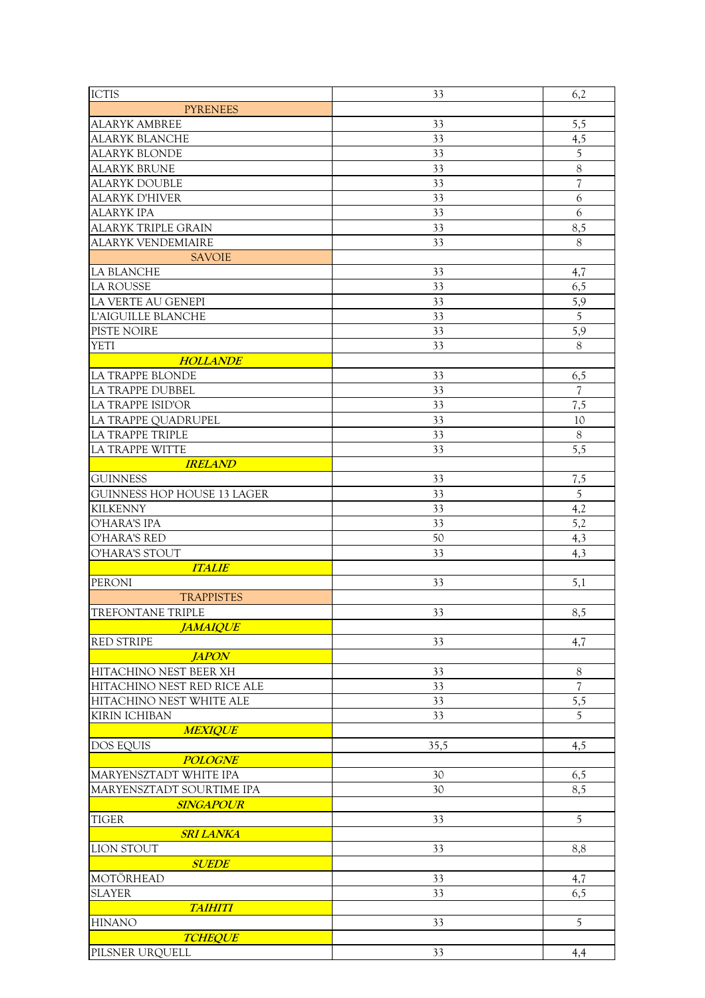| <b>ICTIS</b>                       | 33       | 6,2                      |
|------------------------------------|----------|--------------------------|
| <b>PYRENEES</b>                    |          |                          |
| <b>ALARYK AMBREE</b>               | 33       | 5,5                      |
| <b>ALARYK BLANCHE</b>              | 33       | 4,5                      |
| <b>ALARYK BLONDE</b>               | 33       | $\overline{5}$           |
| <b>ALARYK BRUNE</b>                | 33       | $\boldsymbol{8}$         |
| <b>ALARYK DOUBLE</b>               | 33       | $\overline{\mathcal{U}}$ |
| <b>ALARYK D'HIVER</b>              | 33       | 6                        |
|                                    |          |                          |
| <b>ALARYK IPA</b>                  | 33<br>33 | 6                        |
| <b>ALARYK TRIPLE GRAIN</b>         |          | 8,5                      |
| <b>ALARYK VENDEMIAIRE</b>          | 33       | 8                        |
| <b>SAVOIE</b>                      |          |                          |
| LA BLANCHE                         | 33       | 4,7                      |
| <b>LA ROUSSE</b>                   | 33       | 6,5                      |
| LA VERTE AU GENEPI                 | 33       | 5,9                      |
| L'AIGUILLE BLANCHE                 | 33       | 5                        |
| PISTE NOIRE                        | 33       | 5,9                      |
| <b>YETI</b>                        | 33       | 8                        |
| <b>HOLLANDE</b>                    |          |                          |
| <b>LA TRAPPE BLONDE</b>            | 33       | 6,5                      |
| <b>LA TRAPPE DUBBEL</b>            | 33       | $\overline{7}$           |
| LA TRAPPE ISID'OR                  | 33       | 7,5                      |
| LA TRAPPE QUADRUPEL                | 33       | 10                       |
| LA TRAPPE TRIPLE                   | 33       | $\,8\,$                  |
| <b>LA TRAPPE WITTE</b>             | 33       | 5,5                      |
| <b>IRELAND</b>                     |          |                          |
| <b>GUINNESS</b>                    | 33       | 7,5                      |
| <b>GUINNESS HOP HOUSE 13 LAGER</b> | 33       | $\sqrt{5}$               |
| <b>KILKENNY</b>                    | 33       |                          |
| O'HARA'S IPA                       | 33       | 4,2<br>5,2               |
|                                    |          |                          |
| <b>O'HARA'S RED</b>                | 50       | 4,3                      |
| O'HARA'S STOUT                     | 33       | 4,3                      |
| <b>ITALIE</b>                      |          |                          |
| PERONI                             | 33       | 5,1                      |
| <b>TRAPPISTES</b>                  |          |                          |
| <b>TREFONTANE TRIPLE</b>           | 33       | 8,5                      |
| <b>JAMAIQUE</b>                    |          |                          |
| <b>RED STRIPE</b>                  | 33       | 4,7                      |
| <b>JAPON</b>                       |          |                          |
| HITACHINO NEST BEER XH             | 33       | 8                        |
| HITACHINO NEST RED RICE ALE        | 33       | 7                        |
| HITACHINO NEST WHITE ALE           | 33       | 5,5                      |
| <b>KIRIN ICHIBAN</b>               | 33       | 5                        |
| <b>MEXIQUE</b>                     |          |                          |
| <b>DOS EQUIS</b>                   | 35,5     | 4,5                      |
| <b>POLOGNE</b>                     |          |                          |
| MARYENSZTADT WHITE IPA             | 30       | 6,5                      |
| MARYENSZTADT SOURTIME IPA          | 30       | 8,5                      |
| <b>SINGAPOUR</b>                   |          |                          |
| <b>TIGER</b>                       | 33       | $\mathfrak s$            |
| <b>SRI LANKA</b>                   |          |                          |
| <b>LION STOUT</b>                  | 33       | 8,8                      |
| <b>SUEDE</b>                       |          |                          |
| MOTÖRHEAD                          | 33       |                          |
| <b>SLAYER</b>                      |          | 4,7                      |
|                                    | 33       | 6,5                      |
| <b>TAIHITI</b>                     |          |                          |
| <b>HINANO</b>                      | 33       | 5                        |
| <b>TCHEQUE</b>                     |          |                          |
| PILSNER URQUELL                    | 33       | 4,4                      |